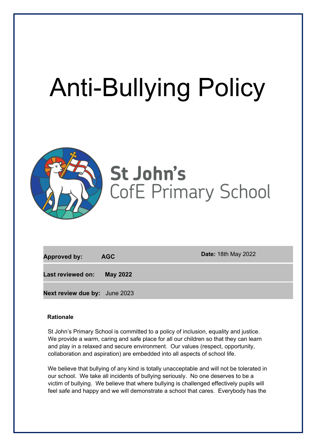# Anti-Bullying Policy



# St John's **CofE Primary School**

| <b>Approved by:</b>                  | <b>AGC</b>      | <b>Date: 18th May 2022</b> |
|--------------------------------------|-----------------|----------------------------|
| Last reviewed on:                    | <b>May 2022</b> |                            |
| <b>Next review due by:</b> June 2023 |                 |                            |

#### **Rationale**

St John's Primary School is committed to a policy of inclusion, equality and justice. We provide a warm, caring and safe place for all our children so that they can learn and play in a relaxed and secure environment. Our values (respect, opportunity, collaboration and aspiration) are embedded into all aspects of school life.

We believe that bullying of any kind is totally unacceptable and will not be tolerated in our school. We take all incidents of bullying seriously. No one deserves to be a victim of bullying. We believe that where bullying is challenged effectively pupils will feel safe and happy and we will demonstrate a school that cares. Everybody has the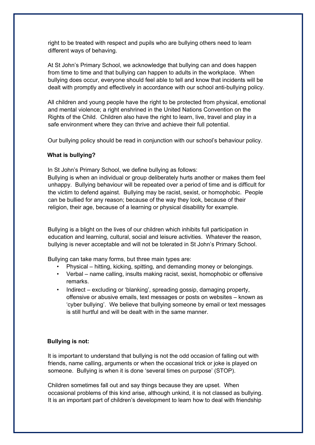right to be treated with respect and pupils who are bullying others need to learn different ways of behaving.

At St John's Primary School, we acknowledge that bullying can and does happen from time to time and that bullying can happen to adults in the workplace. When bullying does occur, everyone should feel able to tell and know that incidents will be dealt with promptly and effectively in accordance with our school anti-bullying policy.

All children and young people have the right to be protected from physical, emotional and mental violence; a right enshrined in the United Nations Convention on the Rights of the Child. Children also have the right to learn, live, travel and play in a safe environment where they can thrive and achieve their full potential.

Our bullying policy should be read in conjunction with our school's behaviour policy.

#### **What is bullying?**

In St John's Primary School, we define bullying as follows:

Bullying is when an individual or group deliberately hurts another or makes them feel unhappy. Bullying behaviour will be repeated over a period of time and is difficult for the victim to defend against. Bullying may be racist, sexist, or homophobic. People can be bullied for any reason; because of the way they look, because of their religion, their age, because of a learning or physical disability for example.

Bullying is a blight on the lives of our children which inhibits full participation in education and learning, cultural, social and leisure activities. Whatever the reason, bullying is never acceptable and will not be tolerated in St John's Primary School.

Bullying can take many forms, but three main types are:

- Physical hitting, kicking, spitting, and demanding money or belongings.
- Verbal name calling, insults making racist, sexist, homophobic or offensive remarks.
- Indirect excluding or 'blanking', spreading gossip, damaging property, offensive or abusive emails, text messages or posts on websites – known as 'cyber bullying'. We believe that bullying someone by email or text messages is still hurtful and will be dealt with in the same manner.

#### **Bullying is not:**

It is important to understand that bullying is not the odd occasion of falling out with friends, name calling, arguments or when the occasional trick or joke is played on someone. Bullying is when it is done 'several times on purpose' (STOP).

Children sometimes fall out and say things because they are upset. When occasional problems of this kind arise, although unkind, it is not classed as bullying. It is an important part of children's development to learn how to deal with friendship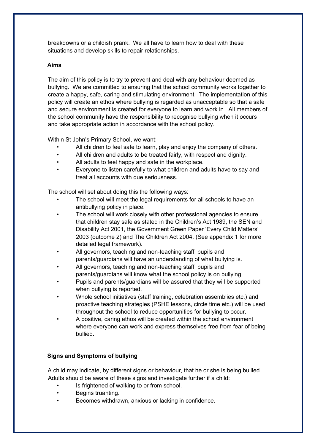breakdowns or a childish prank. We all have to learn how to deal with these situations and develop skills to repair relationships.

#### **Aims**

The aim of this policy is to try to prevent and deal with any behaviour deemed as bullying. We are committed to ensuring that the school community works together to create a happy, safe, caring and stimulating environment. The implementation of this policy will create an ethos where bullying is regarded as unacceptable so that a safe and secure environment is created for everyone to learn and work in. All members of the school community have the responsibility to recognise bullying when it occurs and take appropriate action in accordance with the school policy.

Within St John's Primary School, we want:

- All children to feel safe to learn, play and enjoy the company of others.
- All children and adults to be treated fairly, with respect and dignity.
- All adults to feel happy and safe in the workplace.
- Everyone to listen carefully to what children and adults have to say and treat all accounts with due seriousness.

The school will set about doing this the following ways:

- The school will meet the legal requirements for all schools to have an antibullying policy in place.
- The school will work closely with other professional agencies to ensure that children stay safe as stated in the Children's Act 1989, the SEN and Disability Act 2001, the Government Green Paper 'Every Child Matters' 2003 (outcome 2) and The Children Act 2004. (See appendix 1 for more detailed legal framework).
- All governors, teaching and non-teaching staff, pupils and parents/guardians will have an understanding of what bullying is.
- All governors, teaching and non-teaching staff, pupils and parents/guardians will know what the school policy is on bullying.
- Pupils and parents/guardians will be assured that they will be supported when bullying is reported.
- Whole school initiatives (staff training, celebration assemblies etc.) and proactive teaching strategies (PSHE lessons, circle time etc.) will be used throughout the school to reduce opportunities for bullying to occur.
- A positive, caring ethos will be created within the school environment where everyone can work and express themselves free from fear of being bullied.

## **Signs and Symptoms of bullying**

A child may indicate, by different signs or behaviour, that he or she is being bullied. Adults should be aware of these signs and investigate further if a child:

- Is frightened of walking to or from school.
- Begins truanting.
- Becomes withdrawn, anxious or lacking in confidence.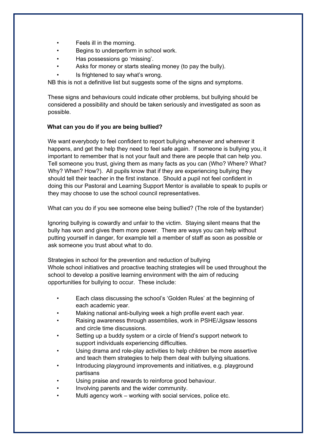- Feels ill in the morning.
- Begins to underperform in school work.
- Has possessions go 'missing'.
- Asks for money or starts stealing money (to pay the bully).
- Is frightened to say what's wrong.

NB this is not a definitive list but suggests some of the signs and symptoms.

These signs and behaviours could indicate other problems, but bullying should be considered a possibility and should be taken seriously and investigated as soon as possible.

#### **What can you do if you are being bullied?**

We want everybody to feel confident to report bullying whenever and wherever it happens, and get the help they need to feel safe again. If someone is bullying you, it important to remember that is not your fault and there are people that can help you. Tell someone you trust, giving them as many facts as you can (Who? Where? What? Why? When? How?). All pupils know that if they are experiencing bullying they should tell their teacher in the first instance. Should a pupil not feel confident in doing this our Pastoral and Learning Support Mentor is available to speak to pupils or they may choose to use the school council representatives.

What can you do if you see someone else being bullied? (The role of the bystander)

Ignoring bullying is cowardly and unfair to the victim. Staying silent means that the bully has won and gives them more power. There are ways you can help without putting yourself in danger, for example tell a member of staff as soon as possible or ask someone you trust about what to do.

Strategies in school for the prevention and reduction of bullying Whole school initiatives and proactive teaching strategies will be used throughout the school to develop a positive learning environment with the aim of reducing opportunities for bullying to occur. These include:

- Each class discussing the school's 'Golden Rules' at the beginning of each academic year.
- Making national anti-bullying week a high profile event each year.
- Raising awareness through assemblies, work in PSHE/Jigsaw lessons and circle time discussions.
- Setting up a buddy system or a circle of friend's support network to support individuals experiencing difficulties.
- Using drama and role-play activities to help children be more assertive and teach them strategies to help them deal with bullying situations.
- Introducing playground improvements and initiatives, e.g. playground partisans
- Using praise and rewards to reinforce good behaviour.
- Involving parents and the wider community.
- Multi agency work working with social services, police etc.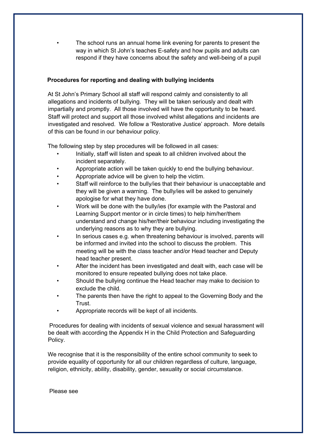The school runs an annual home link evening for parents to present the way in which St John's teaches E-safety and how pupils and adults can respond if they have concerns about the safety and well-being of a pupil

#### **Procedures for reporting and dealing with bullying incidents**

At St John's Primary School all staff will respond calmly and consistently to all allegations and incidents of bullying. They will be taken seriously and dealt with impartially and promptly. All those involved will have the opportunity to be heard. Staff will protect and support all those involved whilst allegations and incidents are investigated and resolved. We follow a 'Restorative Justice' approach. More details of this can be found in our behaviour policy.

The following step by step procedures will be followed in all cases:

- Initially, staff will listen and speak to all children involved about the incident separately.
- Appropriate action will be taken quickly to end the bullying behaviour.
- Appropriate advice will be given to help the victim.
- Staff will reinforce to the bully/ies that their behaviour is unacceptable and they will be given a warning. The bully/ies will be asked to genuinely apologise for what they have done.
- Work will be done with the bully/ies (for example with the Pastoral and Learning Support mentor or in circle times) to help him/her/them understand and change his/her/their behaviour including investigating the underlying reasons as to why they are bullying.
- In serious cases e.g. when threatening behaviour is involved, parents will be informed and invited into the school to discuss the problem. This meeting will be with the class teacher and/or Head teacher and Deputy head teacher present.
- After the incident has been investigated and dealt with, each case will be monitored to ensure repeated bullying does not take place.
- Should the bullying continue the Head teacher may make to decision to exclude the child.
- The parents then have the right to appeal to the Governing Body and the Trust.
- Appropriate records will be kept of all incidents.

Procedures for dealing with incidents of sexual violence and sexual harassment will be dealt with according the Appendix H in the Child Protection and Safeguarding Policy.

We recognise that it is the responsibility of the entire school community to seek to provide equality of opportunity for all our children regardless of culture, language, religion, ethnicity, ability, disability, gender, sexuality or social circumstance.

Please see